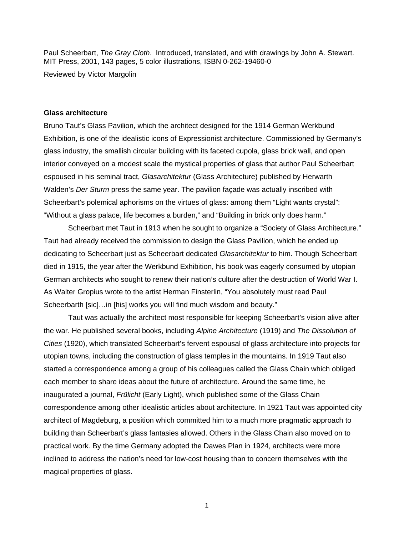Paul Scheerbart, *The Gray Cloth*. Introduced, translated, and with drawings by John A. Stewart. MIT Press, 2001, 143 pages, 5 color illustrations, ISBN 0-262-19460-0 Reviewed by Victor Margolin

# **Glass architecture**

Bruno Taut's Glass Pavilion, which the architect designed for the 1914 German Werkbund Exhibition, is one of the idealistic icons of Expressionist architecture. Commissioned by Germany's glass industry, the smallish circular building with its faceted cupola, glass brick wall, and open interior conveyed on a modest scale the mystical properties of glass that author Paul Scheerbart espoused in his seminal tract, *Glasarchitektur* (Glass Architecture) published by Herwarth Walden's *Der Sturm* press the same year. The pavilion façade was actually inscribed with Scheerbart's polemical aphorisms on the virtues of glass: among them "Light wants crystal": "Without a glass palace, life becomes a burden," and "Building in brick only does harm."

Scheerbart met Taut in 1913 when he sought to organize a "Society of Glass Architecture." Taut had already received the commission to design the Glass Pavilion, which he ended up dedicating to Scheerbart just as Scheerbart dedicated *Glasarchitektur* to him. Though Scheerbart died in 1915, the year after the Werkbund Exhibition, his book was eagerly consumed by utopian German architects who sought to renew their nation's culture after the destruction of World War I. As Walter Gropius wrote to the artist Herman Finsterlin, "You absolutely must read Paul Scheerbarth [sic]…in [his] works you will find much wisdom and beauty."

Taut was actually the architect most responsible for keeping Scheerbart's vision alive after the war. He published several books, including *Alpine Architecture* (1919) and *The Dissolution of Cities* (1920), which translated Scheerbart's fervent espousal of glass architecture into projects for utopian towns, including the construction of glass temples in the mountains. In 1919 Taut also started a correspondence among a group of his colleagues called the Glass Chain which obliged each member to share ideas about the future of architecture. Around the same time, he inaugurated a journal, *Frülicht* (Early Light), which published some of the Glass Chain correspondence among other idealistic articles about architecture. In 1921 Taut was appointed city architect of Magdeburg, a position which committed him to a much more pragmatic approach to building than Scheerbart's glass fantasies allowed. Others in the Glass Chain also moved on to practical work. By the time Germany adopted the Dawes Plan in 1924, architects were more inclined to address the nation's need for low-cost housing than to concern themselves with the magical properties of glass.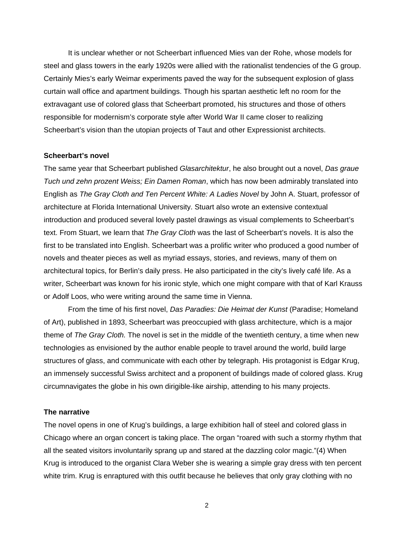It is unclear whether or not Scheerbart influenced Mies van der Rohe, whose models for steel and glass towers in the early 1920s were allied with the rationalist tendencies of the G group. Certainly Mies's early Weimar experiments paved the way for the subsequent explosion of glass curtain wall office and apartment buildings. Though his spartan aesthetic left no room for the extravagant use of colored glass that Scheerbart promoted, his structures and those of others responsible for modernism's corporate style after World War II came closer to realizing Scheerbart's vision than the utopian projects of Taut and other Expressionist architects.

## **Scheerbart's novel**

The same year that Scheerbart published *Glasarchitektur*, he also brought out a novel, *Das graue Tuch und zehn prozent Weiss; Ein Damen Roman*, which has now been admirably translated into English as *The Gray Cloth and Ten Percent White: A Ladies Novel* by John A. Stuart, professor of architecture at Florida International University. Stuart also wrote an extensive contextual introduction and produced several lovely pastel drawings as visual complements to Scheerbart's text. From Stuart, we learn that *The Gray Cloth* was the last of Scheerbart's novels. It is also the first to be translated into English. Scheerbart was a prolific writer who produced a good number of novels and theater pieces as well as myriad essays, stories, and reviews, many of them on architectural topics, for Berlin's daily press. He also participated in the city's lively café life. As a writer, Scheerbart was known for his ironic style, which one might compare with that of Karl Krauss or Adolf Loos, who were writing around the same time in Vienna.

From the time of his first novel, *Das Paradies: Die Heimat der Kunst* (Paradise; Homeland of Art), published in 1893, Scheerbart was preoccupied with glass architecture, which is a major theme of *The Gray Cloth.* The novel is set in the middle of the twentieth century, a time when new technologies as envisioned by the author enable people to travel around the world, build large structures of glass, and communicate with each other by telegraph. His protagonist is Edgar Krug, an immensely successful Swiss architect and a proponent of buildings made of colored glass. Krug circumnavigates the globe in his own dirigible-like airship, attending to his many projects.

## **The narrative**

The novel opens in one of Krug's buildings, a large exhibition hall of steel and colored glass in Chicago where an organ concert is taking place. The organ "roared with such a stormy rhythm that all the seated visitors involuntarily sprang up and stared at the dazzling color magic."(4) When Krug is introduced to the organist Clara Weber she is wearing a simple gray dress with ten percent white trim. Krug is enraptured with this outfit because he believes that only gray clothing with no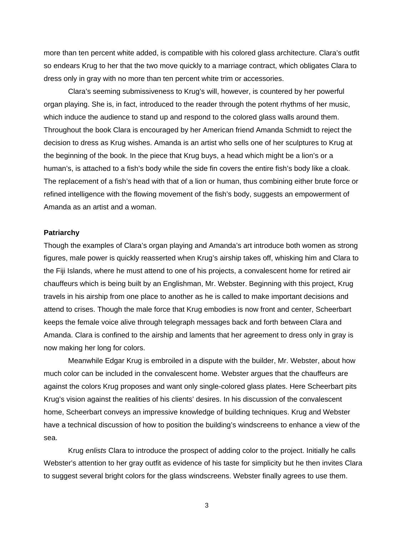more than ten percent white added, is compatible with his colored glass architecture. Clara's outfit so endears Krug to her that the two move quickly to a marriage contract, which obligates Clara to dress only in gray with no more than ten percent white trim or accessories.

Clara's seeming submissiveness to Krug's will, however, is countered by her powerful organ playing. She is, in fact, introduced to the reader through the potent rhythms of her music, which induce the audience to stand up and respond to the colored glass walls around them. Throughout the book Clara is encouraged by her American friend Amanda Schmidt to reject the decision to dress as Krug wishes. Amanda is an artist who sells one of her sculptures to Krug at the beginning of the book. In the piece that Krug buys, a head which might be a lion's or a human's, is attached to a fish's body while the side fin covers the entire fish's body like a cloak. The replacement of a fish's head with that of a lion or human, thus combining either brute force or refined intelligence with the flowing movement of the fish's body, suggests an empowerment of Amanda as an artist and a woman.

#### **Patriarchy**

Though the examples of Clara's organ playing and Amanda's art introduce both women as strong figures, male power is quickly reasserted when Krug's airship takes off, whisking him and Clara to the Fiji Islands, where he must attend to one of his projects, a convalescent home for retired air chauffeurs which is being built by an Englishman, Mr. Webster. Beginning with this project, Krug travels in his airship from one place to another as he is called to make important decisions and attend to crises. Though the male force that Krug embodies is now front and center, Scheerbart keeps the female voice alive through telegraph messages back and forth between Clara and Amanda. Clara is confined to the airship and laments that her agreement to dress only in gray is now making her long for colors.

Meanwhile Edgar Krug is embroiled in a dispute with the builder, Mr. Webster, about how much color can be included in the convalescent home. Webster argues that the chauffeurs are against the colors Krug proposes and want only single-colored glass plates. Here Scheerbart pits Krug's vision against the realities of his clients' desires. In his discussion of the convalescent home, Scheerbart conveys an impressive knowledge of building techniques. Krug and Webster have a technical discussion of how to position the building's windscreens to enhance a view of the sea.

Krug *enlists* Clara to introduce the prospect of adding color to the project. Initially he calls Webster's attention to her gray outfit as evidence of his taste for simplicity but he then invites Clara to suggest several bright colors for the glass windscreens. Webster finally agrees to use them.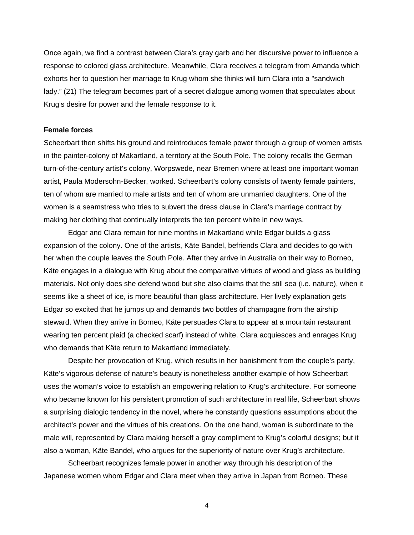Once again, we find a contrast between Clara's gray garb and her discursive power to influence a response to colored glass architecture. Meanwhile, Clara receives a telegram from Amanda which exhorts her to question her marriage to Krug whom she thinks will turn Clara into a "sandwich lady." (21) The telegram becomes part of a secret dialogue among women that speculates about Krug's desire for power and the female response to it.

## **Female forces**

Scheerbart then shifts his ground and reintroduces female power through a group of women artists in the painter-colony of Makartland, a territory at the South Pole. The colony recalls the German turn-of-the-century artist's colony, Worpswede, near Bremen where at least one important woman artist, Paula Modersohn-Becker, worked. Scheerbart's colony consists of twenty female painters, ten of whom are married to male artists and ten of whom are unmarried daughters. One of the women is a seamstress who tries to subvert the dress clause in Clara's marriage contract by making her clothing that continually interprets the ten percent white in new ways.

Edgar and Clara remain for nine months in Makartland while Edgar builds a glass expansion of the colony. One of the artists, Käte Bandel, befriends Clara and decides to go with her when the couple leaves the South Pole. After they arrive in Australia on their way to Borneo, Käte engages in a dialogue with Krug about the comparative virtues of wood and glass as building materials. Not only does she defend wood but she also claims that the still sea (i.e. nature), when it seems like a sheet of ice, is more beautiful than glass architecture. Her lively explanation gets Edgar so excited that he jumps up and demands two bottles of champagne from the airship steward. When they arrive in Borneo, Käte persuades Clara to appear at a mountain restaurant wearing ten percent plaid (a checked scarf) instead of white. Clara acquiesces and enrages Krug who demands that Käte return to Makartland immediately.

Despite her provocation of Krug, which results in her banishment from the couple's party, Käte's vigorous defense of nature's beauty is nonetheless another example of how Scheerbart uses the woman's voice to establish an empowering relation to Krug's architecture. For someone who became known for his persistent promotion of such architecture in real life, Scheerbart shows a surprising dialogic tendency in the novel, where he constantly questions assumptions about the architect's power and the virtues of his creations. On the one hand, woman is subordinate to the male will, represented by Clara making herself a gray compliment to Krug's colorful designs; but it also a woman, Käte Bandel, who argues for the superiority of nature over Krug's architecture.

Scheerbart recognizes female power in another way through his description of the Japanese women whom Edgar and Clara meet when they arrive in Japan from Borneo. These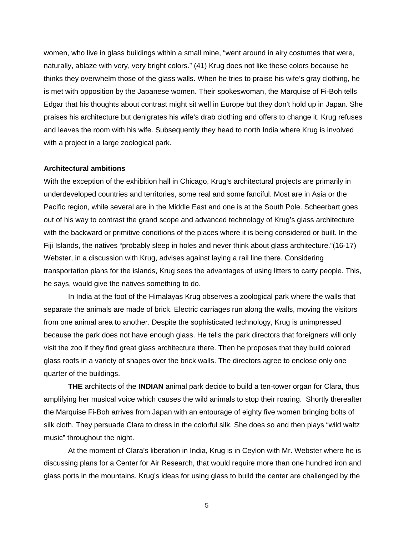women, who live in glass buildings within a small mine, "went around in airy costumes that were, naturally, ablaze with very, very bright colors." (41) Krug does not like these colors because he thinks they overwhelm those of the glass walls. When he tries to praise his wife's gray clothing, he is met with opposition by the Japanese women. Their spokeswoman, the Marquise of Fi-Boh tells Edgar that his thoughts about contrast might sit well in Europe but they don't hold up in Japan. She praises his architecture but denigrates his wife's drab clothing and offers to change it. Krug refuses and leaves the room with his wife. Subsequently they head to north India where Krug is involved with a project in a large zoological park.

### **Architectural ambitions**

With the exception of the exhibition hall in Chicago, Krug's architectural projects are primarily in underdeveloped countries and territories, some real and some fanciful. Most are in Asia or the Pacific region, while several are in the Middle East and one is at the South Pole. Scheerbart goes out of his way to contrast the grand scope and advanced technology of Krug's glass architecture with the backward or primitive conditions of the places where it is being considered or built. In the Fiji Islands, the natives "probably sleep in holes and never think about glass architecture."(16-17) Webster, in a discussion with Krug, advises against laying a rail line there. Considering transportation plans for the islands, Krug sees the advantages of using litters to carry people. This, he says, would give the natives something to do.

In India at the foot of the Himalayas Krug observes a zoological park where the walls that separate the animals are made of brick. Electric carriages run along the walls, moving the visitors from one animal area to another. Despite the sophisticated technology, Krug is unimpressed because the park does not have enough glass. He tells the park directors that foreigners will only visit the zoo if they find great glass architecture there. Then he proposes that they build colored glass roofs in a variety of shapes over the brick walls. The directors agree to enclose only one quarter of the buildings.

**THE** architects of the **INDIAN** animal park decide to build a ten-tower organ for Clara, thus amplifying her musical voice which causes the wild animals to stop their roaring. Shortly thereafter the Marquise Fi-Boh arrives from Japan with an entourage of eighty five women bringing bolts of silk cloth. They persuade Clara to dress in the colorful silk. She does so and then plays "wild waltz music" throughout the night.

At the moment of Clara's liberation in India, Krug is in Ceylon with Mr. Webster where he is discussing plans for a Center for Air Research, that would require more than one hundred iron and glass ports in the mountains. Krug's ideas for using glass to build the center are challenged by the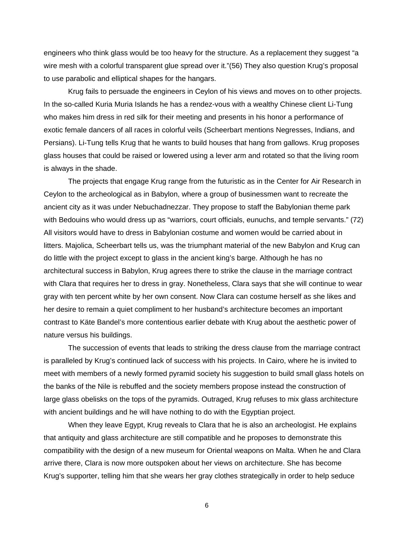engineers who think glass would be too heavy for the structure. As a replacement they suggest "a wire mesh with a colorful transparent glue spread over it."(56) They also question Krug's proposal to use parabolic and elliptical shapes for the hangars.

Krug fails to persuade the engineers in Ceylon of his views and moves on to other projects. In the so-called Kuria Muria Islands he has a rendez-vous with a wealthy Chinese client Li-Tung who makes him dress in red silk for their meeting and presents in his honor a performance of exotic female dancers of all races in colorful veils (Scheerbart mentions Negresses, Indians, and Persians). Li-Tung tells Krug that he wants to build houses that hang from gallows. Krug proposes glass houses that could be raised or lowered using a lever arm and rotated so that the living room is always in the shade.

The projects that engage Krug range from the futuristic as in the Center for Air Research in Ceylon to the archeological as in Babylon, where a group of businessmen want to recreate the ancient city as it was under Nebuchadnezzar. They propose to staff the Babylonian theme park with Bedouins who would dress up as "warriors, court officials, eunuchs, and temple servants." (72) All visitors would have to dress in Babylonian costume and women would be carried about in litters. Majolica, Scheerbart tells us, was the triumphant material of the new Babylon and Krug can do little with the project except to glass in the ancient king's barge. Although he has no architectural success in Babylon, Krug agrees there to strike the clause in the marriage contract with Clara that requires her to dress in gray. Nonetheless, Clara says that she will continue to wear gray with ten percent white by her own consent. Now Clara can costume herself as she likes and her desire to remain a quiet compliment to her husband's architecture becomes an important contrast to Käte Bandel's more contentious earlier debate with Krug about the aesthetic power of nature versus his buildings.

The succession of events that leads to striking the dress clause from the marriage contract is paralleled by Krug's continued lack of success with his projects. In Cairo, where he is invited to meet with members of a newly formed pyramid society his suggestion to build small glass hotels on the banks of the Nile is rebuffed and the society members propose instead the construction of large glass obelisks on the tops of the pyramids. Outraged, Krug refuses to mix glass architecture with ancient buildings and he will have nothing to do with the Egyptian project.

When they leave Egypt, Krug reveals to Clara that he is also an archeologist. He explains that antiquity and glass architecture are still compatible and he proposes to demonstrate this compatibility with the design of a new museum for Oriental weapons on Malta. When he and Clara arrive there, Clara is now more outspoken about her views on architecture. She has become Krug's supporter, telling him that she wears her gray clothes strategically in order to help seduce